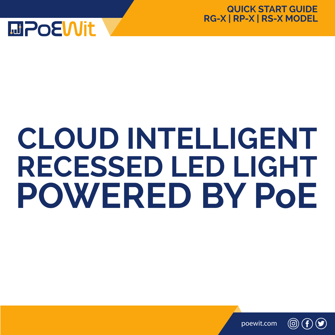

#### **QUICK START GUIDE RG-X | RP-X | RS-X MODEL**

# **CLOUD INTELLIGENT RECESSED LED LIGHT POWERED BY PoE**

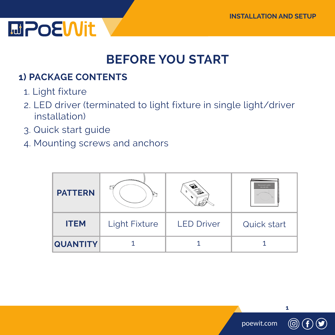

### **BEFORE YOU START**

### **1) PACKAGE CONTENTS**

- 1. Light fixture
- 2. LED driver (terminated to light fixture in single light/driver installation)
- 3. Quick start guide
- 4. Mounting screws and anchors

| <b>PATTERN</b>  |                      |                   | <b>December Charles</b><br><b>ANTIFACT</b> |
|-----------------|----------------------|-------------------|--------------------------------------------|
| <b>ITEM</b>     | <b>Light Fixture</b> | <b>LED Driver</b> | Quick start                                |
| <b>QUANTITY</b> |                      |                   |                                            |

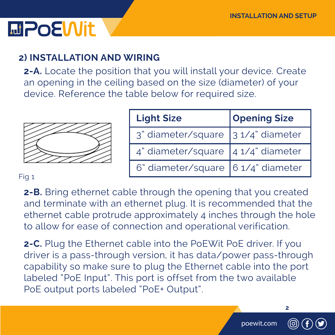# **MPOEWit**

### **2) INSTALLATION AND WIRING**

**2-A.** Locate the position that you will install your device. Create an opening in the ceiling based on the size (diameter) of your device. Reference the table below for required size.

| <b>Light Size</b>                                                                       | <b>Opening Size</b> |
|-----------------------------------------------------------------------------------------|---------------------|
| 3" diameter/square 31/4" diameter                                                       |                     |
| $4"$ diameter/square $\left  \frac{4 \frac{1}{4} \text{ diameter}}{4 \right }$ diameter |                     |
| 6" diameter/square 6 1/4" diameter                                                      |                     |

#### Fig 1

**2-B.** Bring ethernet cable through the opening that you created and terminate with an ethernet plug. It is recommended that the ethernet cable protrude approximately 4 inches through the hole to allow for ease of connection and operational verification.

**2-C.** Plug the Ethernet cable into the PoEWit PoE driver. If you driver is a pass-through version, it has data/power pass-through capability so make sure to plug the Ethernet cable into the port labeled "PoE Input". This port is offset from the two available PoE output ports labeled "PoE+ Output".

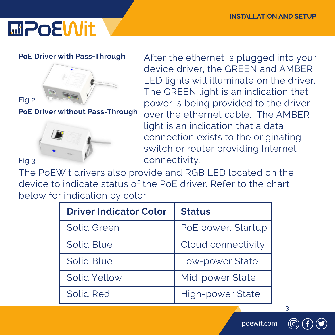# **MPOEWIt**

#### **PoE Driver with Pass-Through**



**PoE Driver without Pass-Through**



After the ethernet is plugged into your device driver, the GREEN and AMBER LED lights will illuminate on the driver. The GREEN light is an indication that power is being provided to the driver over the ethernet cable. The AMBER light is an indication that a data connection exists to the originating switch or router providing Internet connectivity.

The PoEWit drivers also provide and RGB LED located on the device to indicate status of the PoE driver. Refer to the chart below for indication by color.

| <b>Driver Indicator Color</b> | <b>Status</b>      |
|-------------------------------|--------------------|
| <b>Solid Green</b>            | PoE power, Startup |
| Solid Blue                    | Cloud connectivity |
| Solid Blue                    | Low-power State    |
| Solid Yellow                  | Mid-power State    |
| Solid Red                     | High-power State   |

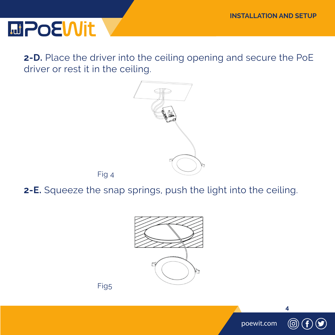# **MPOEWit**

**2-D.** Place the driver into the ceiling opening and secure the PoE driver or rest it in the ceiling.



**2-E.** Squeeze the snap springs, push the light into the ceiling.





Fig 4